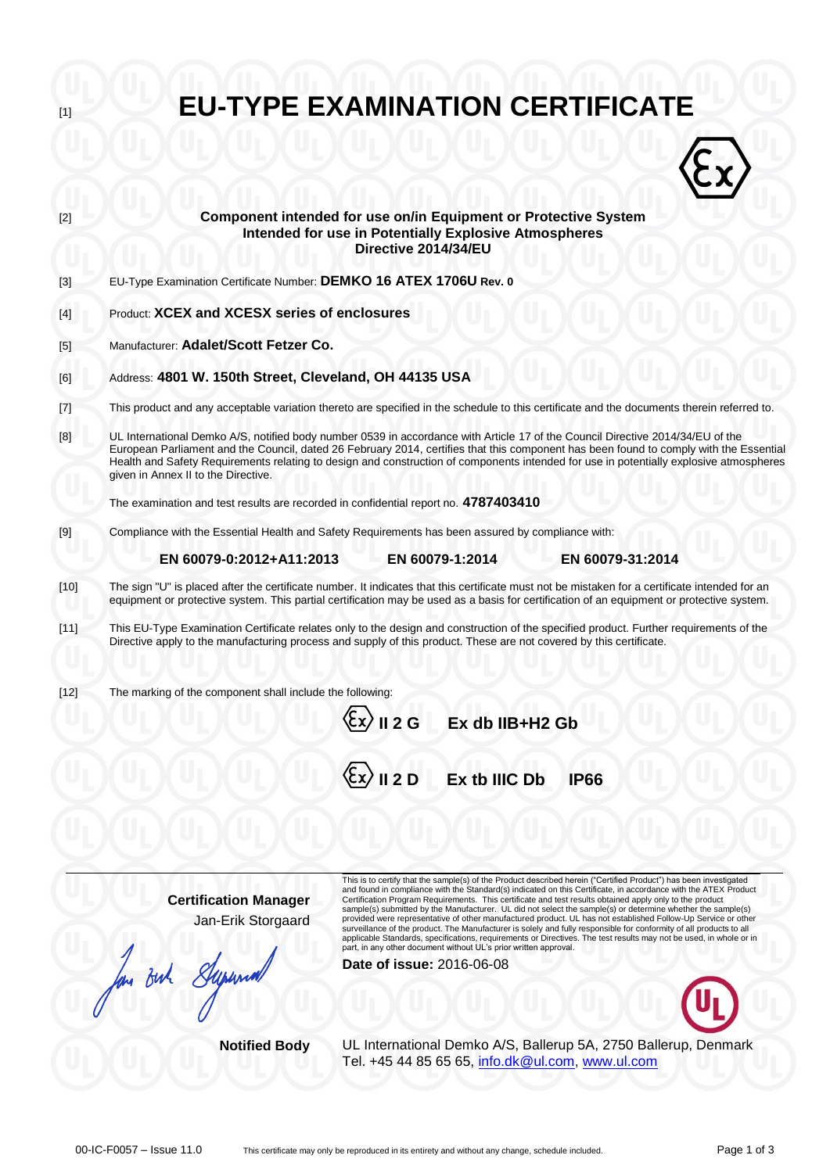| [1]      | <b>EU-TYPE EXAMINATION CERTIFICATE</b>                                                                                                                                                                                                                                                                                                                                                                                                                                                                                                                                                                                                                                                                                                                                                                                                                                                                                                                  |
|----------|---------------------------------------------------------------------------------------------------------------------------------------------------------------------------------------------------------------------------------------------------------------------------------------------------------------------------------------------------------------------------------------------------------------------------------------------------------------------------------------------------------------------------------------------------------------------------------------------------------------------------------------------------------------------------------------------------------------------------------------------------------------------------------------------------------------------------------------------------------------------------------------------------------------------------------------------------------|
|          |                                                                                                                                                                                                                                                                                                                                                                                                                                                                                                                                                                                                                                                                                                                                                                                                                                                                                                                                                         |
| [2]      | Component intended for use on/in Equipment or Protective System<br><b>Intended for use in Potentially Explosive Atmospheres</b><br>Directive 2014/34/EU                                                                                                                                                                                                                                                                                                                                                                                                                                                                                                                                                                                                                                                                                                                                                                                                 |
| $[3]$    | EU-Type Examination Certificate Number: DEMKO 16 ATEX 1706U Rev. 0                                                                                                                                                                                                                                                                                                                                                                                                                                                                                                                                                                                                                                                                                                                                                                                                                                                                                      |
| [4]      | Product: XCEX and XCESX series of enclosures                                                                                                                                                                                                                                                                                                                                                                                                                                                                                                                                                                                                                                                                                                                                                                                                                                                                                                            |
| [5]      | Manufacturer: Adalet/Scott Fetzer Co.                                                                                                                                                                                                                                                                                                                                                                                                                                                                                                                                                                                                                                                                                                                                                                                                                                                                                                                   |
| [6]      | Address: 4801 W. 150th Street, Cleveland, OH 44135 USA                                                                                                                                                                                                                                                                                                                                                                                                                                                                                                                                                                                                                                                                                                                                                                                                                                                                                                  |
| $^{[7]}$ | This product and any acceptable variation thereto are specified in the schedule to this certificate and the documents therein referred to.                                                                                                                                                                                                                                                                                                                                                                                                                                                                                                                                                                                                                                                                                                                                                                                                              |
| [8]      | UL International Demko A/S, notified body number 0539 in accordance with Article 17 of the Council Directive 2014/34/EU of the<br>European Parliament and the Council, dated 26 February 2014, certifies that this component has been found to comply with the Essential<br>Health and Safety Requirements relating to design and construction of components intended for use in potentially explosive atmospheres<br>given in Annex II to the Directive.                                                                                                                                                                                                                                                                                                                                                                                                                                                                                               |
|          | The examination and test results are recorded in confidential report no. 4787403410                                                                                                                                                                                                                                                                                                                                                                                                                                                                                                                                                                                                                                                                                                                                                                                                                                                                     |
| [9]      | Compliance with the Essential Health and Safety Requirements has been assured by compliance with:                                                                                                                                                                                                                                                                                                                                                                                                                                                                                                                                                                                                                                                                                                                                                                                                                                                       |
|          | EN 60079-1:2014<br>EN 60079-0:2012+A11:2013<br>EN 60079-31:2014                                                                                                                                                                                                                                                                                                                                                                                                                                                                                                                                                                                                                                                                                                                                                                                                                                                                                         |
| $[10]$   | The sign "U" is placed after the certificate number. It indicates that this certificate must not be mistaken for a certificate intended for an<br>equipment or protective system. This partial certification may be used as a basis for certification of an equipment or protective system.                                                                                                                                                                                                                                                                                                                                                                                                                                                                                                                                                                                                                                                             |
| $[11]$   | This EU-Type Examination Certificate relates only to the design and construction of the specified product. Further requirements of the<br>Directive apply to the manufacturing process and supply of this product. These are not covered by this certificate.                                                                                                                                                                                                                                                                                                                                                                                                                                                                                                                                                                                                                                                                                           |
| $[12]$   | The marking of the component shall include the following:                                                                                                                                                                                                                                                                                                                                                                                                                                                                                                                                                                                                                                                                                                                                                                                                                                                                                               |
|          | $\langle \xi$ x $\rangle$ II 2 G<br>Ex db IIB+H2 Gb                                                                                                                                                                                                                                                                                                                                                                                                                                                                                                                                                                                                                                                                                                                                                                                                                                                                                                     |
|          | $\langle \xi$ x $\rangle$ II 2 D<br>Ex tb IIIC Db<br><b>IP66</b>                                                                                                                                                                                                                                                                                                                                                                                                                                                                                                                                                                                                                                                                                                                                                                                                                                                                                        |
|          |                                                                                                                                                                                                                                                                                                                                                                                                                                                                                                                                                                                                                                                                                                                                                                                                                                                                                                                                                         |
|          | This is to certify that the sample(s) of the Product described herein ("Certified Product") has been investigated<br>and found in compliance with the Standard(s) indicated on this Certificate, in accordance with the ATEX Product<br><b>Certification Manager</b><br>Certification Program Requirements. This certificate and test results obtained apply only to the product<br>sample(s) submitted by the Manufacturer. UL did not select the sample(s) or determine whether the sample(s)<br>Jan-Erik Storgaard<br>provided were representative of other manufactured product. UL has not established Follow-Up Service or other<br>surveillance of the product. The Manufacturer is solely and fully responsible for conformity of all products to all<br>applicable Standards, specifications, requirements or Directives. The test results may not be used, in whole or in<br>part, in any other document without UL's prior written approval. |

Buh

**Date of issue:** 2016-06-08

**Notified Body** UL International Demko A/S, Ballerup 5A, 2750 Ballerup, Denmark Tel. +45 44 85 65 65, [info.dk@ul.com,](mailto:info.dk@ul.com) [www.ul.com](http://www.ul.com/)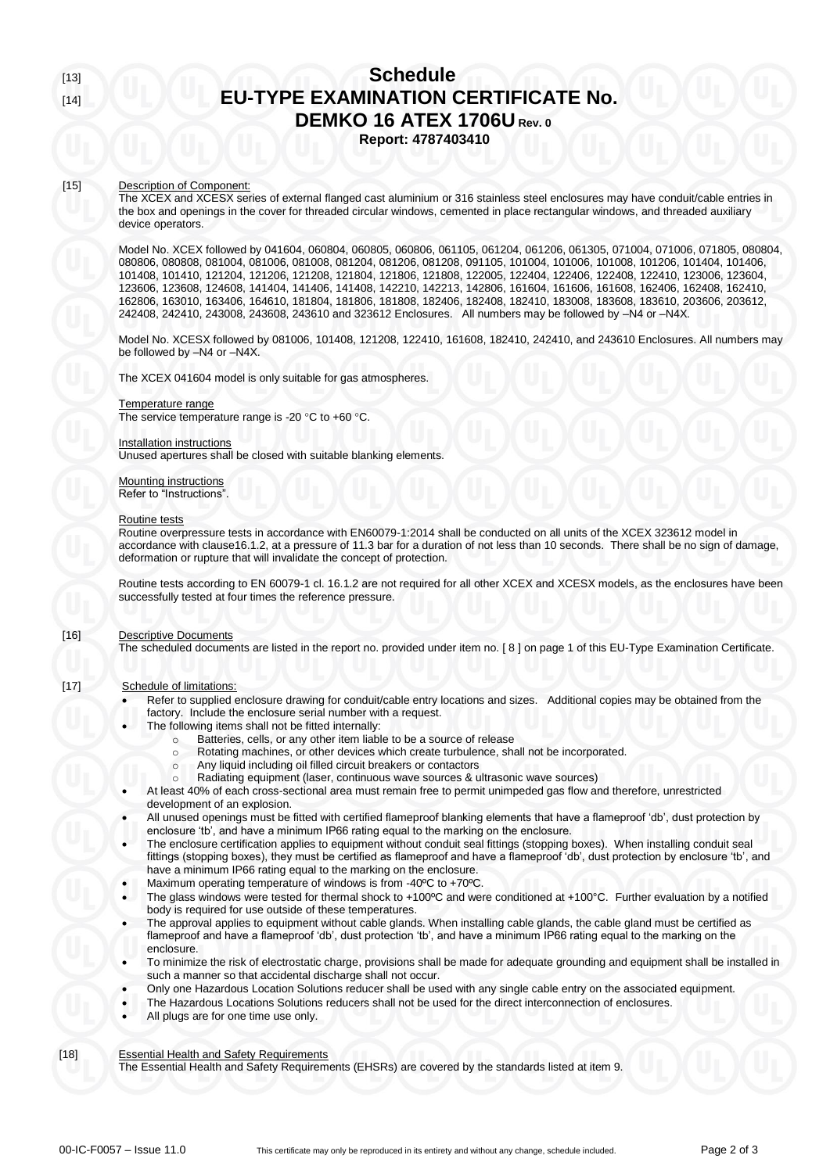# [15] Description of Component:

The XCEX and XCESX series of external flanged cast aluminium or 316 stainless steel enclosures may have conduit/cable entries in the box and openings in the cover for threaded circular windows, cemented in place rectangular windows, and threaded auxiliary device operators.

Model No. XCEX followed by 041604, 060804, 060805, 060806, 061105, 061204, 061206, 061305, 071004, 071006, 071805, 080804, 080806, 080808, 081004, 081006, 081008, 081204, 081206, 081208, 091105, 101004, 101006, 101008, 101206, 101404, 101406, 101408, 101410, 121204, 121206, 121208, 121804, 121806, 121808, 122005, 122404, 122406, 122408, 122410, 123006, 123604, 123606, 123608, 124608, 141404, 141406, 141408, 142210, 142213, 142806, 161604, 161606, 161608, 162406, 162408, 162410, 162806, 163010, 163406, 164610, 181804, 181806, 181808, 182406, 182408, 182410, 183008, 183608, 183610, 203606, 203612, 242408, 242410, 243008, 243608, 243610 and 323612 Enclosures. All numbers may be followed by –N4 or –N4X.

Model No. XCESX followed by 081006, 101408, 121208, 122410, 161608, 182410, 242410, and 243610 Enclosures. All numbers may be followed by –N4 or –N4X.

The XCEX 041604 model is only suitable for gas atmospheres.

### Temperature range

The service temperature range is -20  $\mathrm{^{\circ}C}$  to +60  $\mathrm{^{\circ}C}$ .

### Installation instructions

Unused apertures shall be closed with suitable blanking elements.

# Mounting instructions

Refer to "Instructions".

#### Routine tests

Routine overpressure tests in accordance with EN60079-1:2014 shall be conducted on all units of the XCEX 323612 model in accordance with clause16.1.2, at a pressure of 11.3 bar for a duration of not less than 10 seconds. There shall be no sign of damage, deformation or rupture that will invalidate the concept of protection.

Routine tests according to EN 60079-1 cl. 16.1.2 are not required for all other XCEX and XCESX models, as the enclosures have been successfully tested at four times the reference pressure.

## [16] Descriptive Documents

The scheduled documents are listed in the report no. provided under item no. [ 8 ] on page 1 of this EU-Type Examination Certificate.

## [17] Schedule of limitations:

Refer to supplied enclosure drawing for conduit/cable entry locations and sizes. Additional copies may be obtained from the factory. Include the enclosure serial number with a request.

- The following items shall not be fitted internally:
	- o Batteries, cells, or any other item liable to be a source of release
	- o Rotating machines, or other devices which create turbulence, shall not be incorporated.
	- o Any liquid including oil filled circuit breakers or contactors
	- Radiating equipment (laser, continuous wave sources & ultrasonic wave sources)
- At least 40% of each cross-sectional area must remain free to permit unimpeded gas flow and therefore, unrestricted development of an explosion.
- All unused openings must be fitted with certified flameproof blanking elements that have a flameproof 'db', dust protection by enclosure 'tb', and have a minimum IP66 rating equal to the marking on the enclosure.
- The enclosure certification applies to equipment without conduit seal fittings (stopping boxes). When installing conduit seal fittings (stopping boxes), they must be certified as flameproof and have a flameproof 'db', dust protection by enclosure 'tb', and have a minimum IP66 rating equal to the marking on the enclosure.
- Maximum operating temperature of windows is from -40ºC to +70ºC.
- The glass windows were tested for thermal shock to +100ºC and were conditioned at +100°C. Further evaluation by a notified body is required for use outside of these temperatures.
- The approval applies to equipment without cable glands. When installing cable glands, the cable gland must be certified as flameproof and have a flameproof 'db', dust protection 'tb', and have a minimum IP66 rating equal to the marking on the enclosure.
- To minimize the risk of electrostatic charge, provisions shall be made for adequate grounding and equipment shall be installed in such a manner so that accidental discharge shall not occur.
- Only one Hazardous Location Solutions reducer shall be used with any single cable entry on the associated equipment.
- The Hazardous Locations Solutions reducers shall not be used for the direct interconnection of enclosures.
- All plugs are for one time use only.

## [18] Essential Health and Safety Requirements

The Essential Health and Safety Requirements (EHSRs) are covered by the standards listed at item 9.